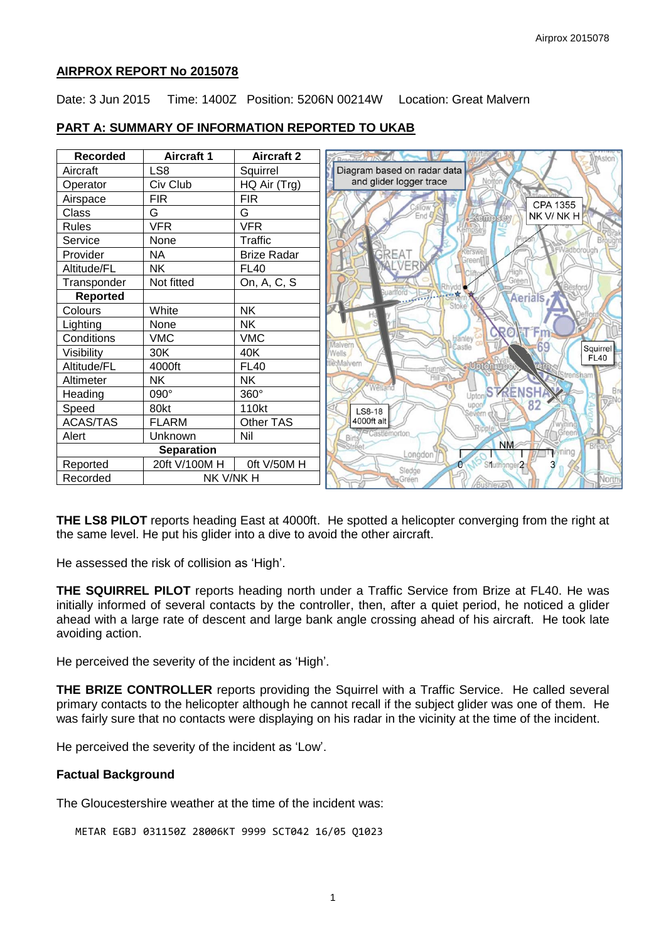### **AIRPROX REPORT No 2015078**

Date: 3 Jun 2015 Time: 1400Z Position: 5206N 00214W Location: Great Malvern



# **PART A: SUMMARY OF INFORMATION REPORTED TO UKAB**

**THE LS8 PILOT** reports heading East at 4000ft. He spotted a helicopter converging from the right at the same level. He put his glider into a dive to avoid the other aircraft.

He assessed the risk of collision as 'High'.

**THE SQUIRREL PILOT** reports heading north under a Traffic Service from Brize at FL40. He was initially informed of several contacts by the controller, then, after a quiet period, he noticed a glider ahead with a large rate of descent and large bank angle crossing ahead of his aircraft. He took late avoiding action.

He perceived the severity of the incident as 'High'.

**THE BRIZE CONTROLLER** reports providing the Squirrel with a Traffic Service. He called several primary contacts to the helicopter although he cannot recall if the subject glider was one of them. He was fairly sure that no contacts were displaying on his radar in the vicinity at the time of the incident.

He perceived the severity of the incident as 'Low'.

#### **Factual Background**

The Gloucestershire weather at the time of the incident was:

```
METAR EGBJ 031150Z 28006KT 9999 SCT042 16/05 Q1023
```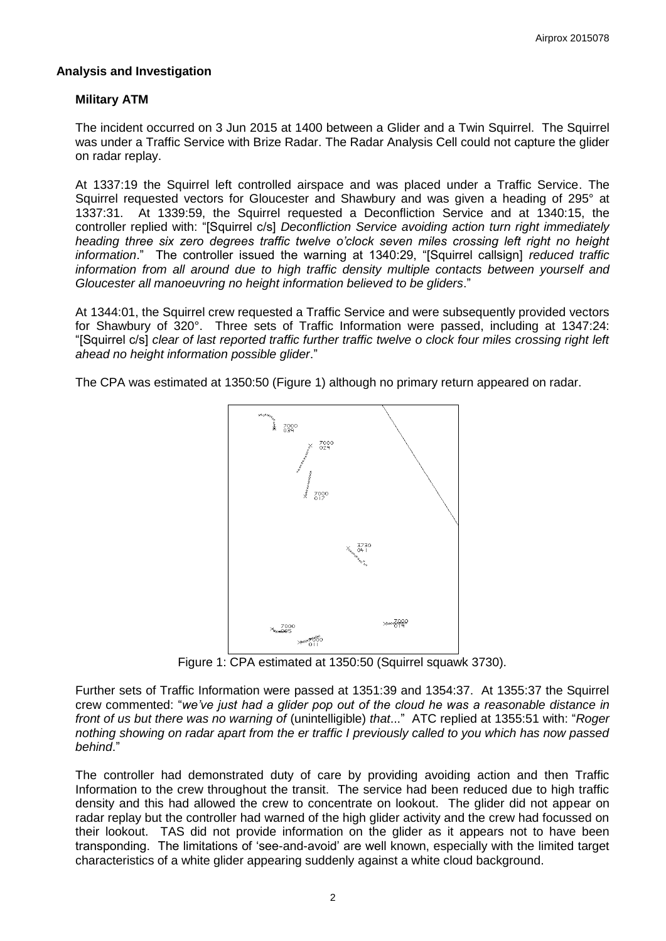### **Analysis and Investigation**

# **Military ATM**

The incident occurred on 3 Jun 2015 at 1400 between a Glider and a Twin Squirrel. The Squirrel was under a Traffic Service with Brize Radar. The Radar Analysis Cell could not capture the glider on radar replay.

At 1337:19 the Squirrel left controlled airspace and was placed under a Traffic Service. The Squirrel requested vectors for Gloucester and Shawbury and was given a heading of 295° at 1337:31. At 1339:59, the Squirrel requested a Deconfliction Service and at 1340:15, the controller replied with: "[Squirrel c/s] *Deconfliction Service avoiding action turn right immediately heading three six zero degrees traffic twelve o'clock seven miles crossing left right no height information*." The controller issued the warning at 1340:29, "[Squirrel callsign] *reduced traffic information from all around due to high traffic density multiple contacts between yourself and Gloucester all manoeuvring no height information believed to be gliders*."

At 1344:01, the Squirrel crew requested a Traffic Service and were subsequently provided vectors for Shawbury of 320°. Three sets of Traffic Information were passed, including at 1347:24: "[Squirrel c/s] *clear of last reported traffic further traffic twelve o clock four miles crossing right left ahead no height information possible glider*."

The CPA was estimated at 1350:50 (Figure 1) although no primary return appeared on radar.



Figure 1: CPA estimated at 1350:50 (Squirrel squawk 3730).

Further sets of Traffic Information were passed at 1351:39 and 1354:37. At 1355:37 the Squirrel crew commented: "*we've just had a glider pop out of the cloud he was a reasonable distance in front of us but there was no warning of* (unintelligible) *that*..." ATC replied at 1355:51 with: "*Roger nothing showing on radar apart from the er traffic I previously called to you which has now passed behind*."

The controller had demonstrated duty of care by providing avoiding action and then Traffic Information to the crew throughout the transit. The service had been reduced due to high traffic density and this had allowed the crew to concentrate on lookout. The glider did not appear on radar replay but the controller had warned of the high glider activity and the crew had focussed on their lookout. TAS did not provide information on the glider as it appears not to have been transponding. The limitations of 'see-and-avoid' are well known, especially with the limited target characteristics of a white glider appearing suddenly against a white cloud background.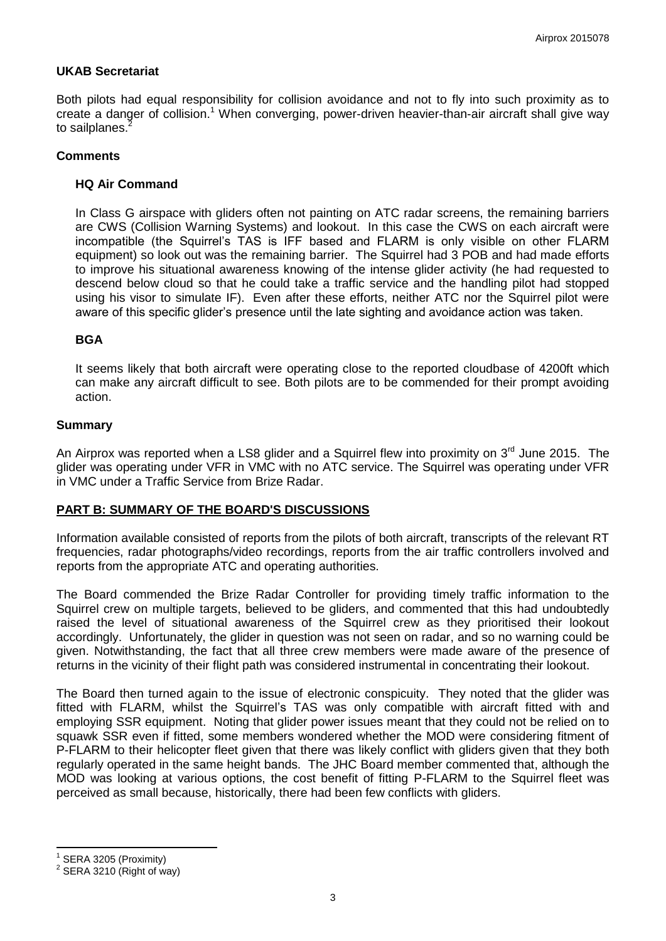## **UKAB Secretariat**

Both pilots had equal responsibility for collision avoidance and not to fly into such proximity as to create a danger of collision.<sup>1</sup> When converging, power-driven heavier-than-air aircraft shall give way to sailplanes.<sup>2</sup>

#### **Comments**

#### **HQ Air Command**

In Class G airspace with gliders often not painting on ATC radar screens, the remaining barriers are CWS (Collision Warning Systems) and lookout. In this case the CWS on each aircraft were incompatible (the Squirrel's TAS is IFF based and FLARM is only visible on other FLARM equipment) so look out was the remaining barrier. The Squirrel had 3 POB and had made efforts to improve his situational awareness knowing of the intense glider activity (he had requested to descend below cloud so that he could take a traffic service and the handling pilot had stopped using his visor to simulate IF). Even after these efforts, neither ATC nor the Squirrel pilot were aware of this specific glider's presence until the late sighting and avoidance action was taken.

# **BGA**

It seems likely that both aircraft were operating close to the reported cloudbase of 4200ft which can make any aircraft difficult to see. Both pilots are to be commended for their prompt avoiding action.

#### **Summary**

An Airprox was reported when a LS8 glider and a Squirrel flew into proximity on 3<sup>rd</sup> June 2015. The glider was operating under VFR in VMC with no ATC service. The Squirrel was operating under VFR in VMC under a Traffic Service from Brize Radar.

#### **PART B: SUMMARY OF THE BOARD'S DISCUSSIONS**

Information available consisted of reports from the pilots of both aircraft, transcripts of the relevant RT frequencies, radar photographs/video recordings, reports from the air traffic controllers involved and reports from the appropriate ATC and operating authorities.

The Board commended the Brize Radar Controller for providing timely traffic information to the Squirrel crew on multiple targets, believed to be gliders, and commented that this had undoubtedly raised the level of situational awareness of the Squirrel crew as they prioritised their lookout accordingly. Unfortunately, the glider in question was not seen on radar, and so no warning could be given. Notwithstanding, the fact that all three crew members were made aware of the presence of returns in the vicinity of their flight path was considered instrumental in concentrating their lookout.

The Board then turned again to the issue of electronic conspicuity. They noted that the glider was fitted with FLARM, whilst the Squirrel's TAS was only compatible with aircraft fitted with and employing SSR equipment. Noting that glider power issues meant that they could not be relied on to squawk SSR even if fitted, some members wondered whether the MOD were considering fitment of P-FLARM to their helicopter fleet given that there was likely conflict with gliders given that they both regularly operated in the same height bands. The JHC Board member commented that, although the MOD was looking at various options, the cost benefit of fitting P-FLARM to the Squirrel fleet was perceived as small because, historically, there had been few conflicts with gliders.

 $\overline{\phantom{a}}$ 

<sup>1</sup> SERA 3205 (Proximity)

 $2$  SERA 3210 (Right of way)